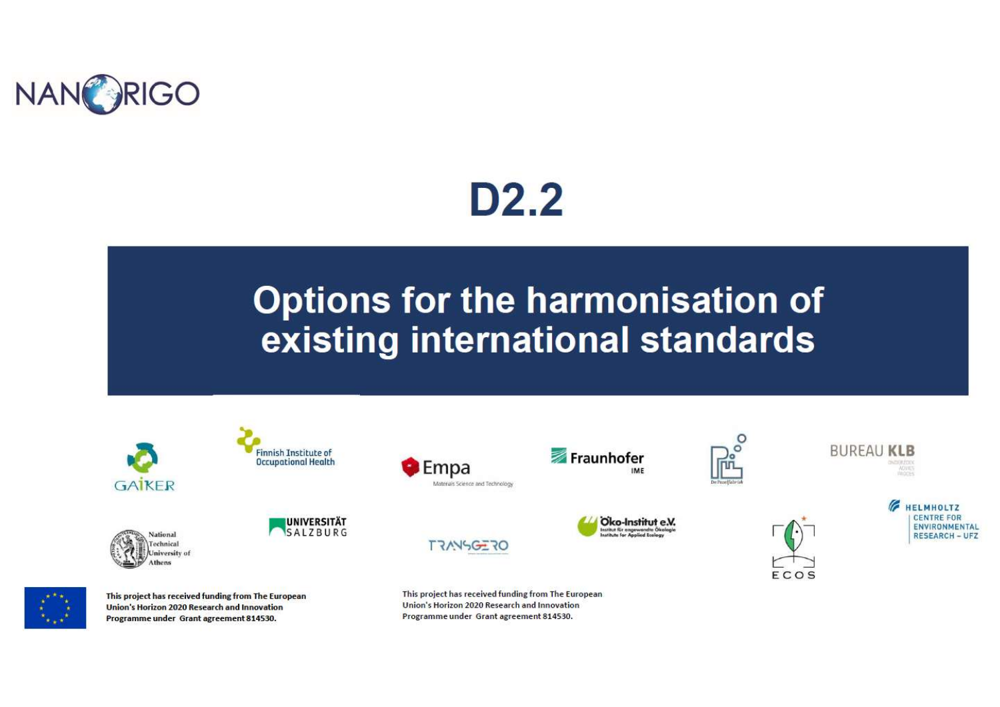

# D<sub>2.2</sub>

## **Options for the harmonisation of** existing international standards

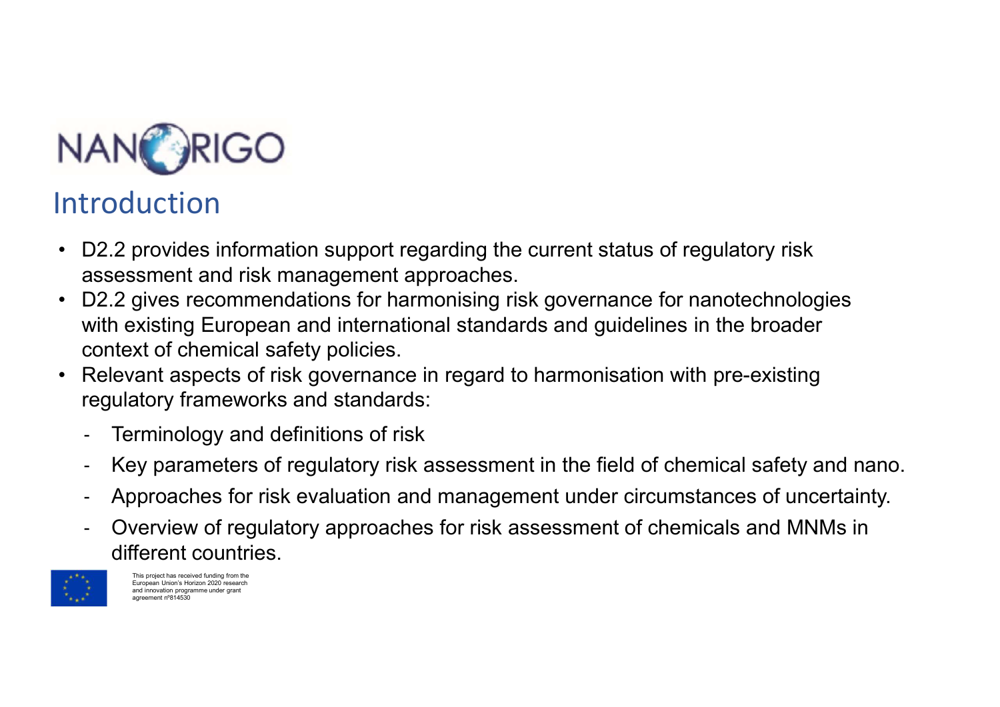

### Introduction

- D2.2 provides information support regarding the current status of regulatory risk<br>• D2.2 provides information support regarding the current status of regulatory risk<br>• D2.2 gives recommendations for harmonising risk gove assessment and risk management approaches.
- DECONTECT MANANANANANANANANANANANANANAN<br>• D2.2 provides information support regarding the current status of regulatory risk<br>• Sesessment and risk management approaches.<br>• D2.2 gives recommendations for harmonising risk g with existing European and international standards and guidelines in the broader context of chemical safety policies. • DECONTECT MANGE CONTECT ASSEMBANCE CONTECT AND MANGE SURFACT ASSESSMENT ASSESSMENT ASSESSMENT ARE SESSMENT ASPECTED AN EXPLORER THE PROCESSMENT AND RELEVANT ASPECTED: THE PROCESSMENT ASPECTED: THE PROCESSMENT ASPECTS OF
- regulatory frameworks and standards:
	- Terminology and definitions of risk
	- Key parameters of regulatory risk assessment in the field of chemical safety and nano.
	- Approaches for risk evaluation and management under circumstances of uncertainty.
	- Overview of regulatory approaches for risk assessment of chemicals and MNMs in different countries.



This project has received funding from the European Union's Horizon 2020 research and innovation programme under grant agreement <sub>n</sub>º844530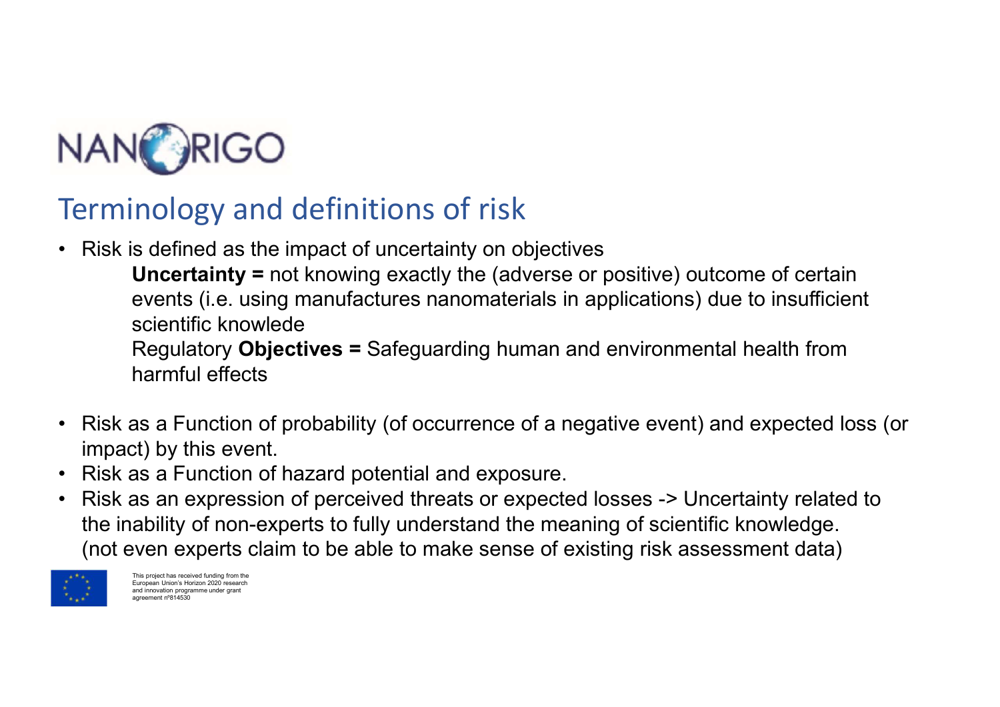

### Terminology and definitions of risk

**NANORIGO**<br>• Risk is defined as the impact of uncertainty on objectives<br>• Risk is defined as the impact of uncertainty on objectives<br>• Uncertainty = not knowing exactly the (adverse or positive) outcome of certain<br>• events **UNCO**<br> **CONTREGO**<br> **CONTREGO**<br> **CONTREGO**<br> **CONTREGO**<br> **CONTREGO**<br> **CONTREGO**<br> **CONTREGO**<br> **CONTREGO**<br> **CONTREGO**<br> **CONTREGO**<br> **CONTREGO**<br> **CONTREGO**<br> **CONTREGO**<br> **CONTREGO**<br> **CONTREGO**<br> **CONTREGO**<br> **CONTREGO**<br> **CONTREGO exercises**<br> **exercises**<br> **of the second definitions** of risk<br> **s** defined as the impact of uncertainty on objectives<br> **Uncertainty =** not knowing exactly the (adverse or positive) outcome of certain<br>
revents (i.e. using m **Science Community Community Community Communist Communist Communist Scientific knowleder Scientific knowleder Regulatory Objectives = Safeguarding human and harmful effects RIGO**<br>
RIGO<br>
s defined as the impact of uncertainty on objectives<br> **Uncertainty** = not knowing exactly the (adverse or positive) outcome of certain<br>
events (i.e. using manufactures nanomaterials in applications) due to in **Example 19 ANCE ASSEM ASSEM ASSEM ASSEM ASSEM ASSEM ASSEM ASSEM ASSEM AND A UNCHAINTY = not knowled sumpleading probability (of occurrence of probability (of occurrence of a negative event) and expected loss (or mipact) b** 

harmful effects

- impact) by this event.
- 
- Ferminology and definitions of risk<br>
 Risk is defined as the impact of uncertainty on objectives<br>
 Uncertainty = not knowing exactly the (adverse or positive<br>
events (i.e. using manufactures nanomaterials in application<br> • Risk as a function of perceived threats or expected losses -> Uncertainty of the server since threats (i.e. using manufactures nanomaterials in applications) due to insufficient where the signilary **Objectives** = Safegu the inability of non-experts to fully understand the meaning of scientific knowledge. (not even experts claim to be able to make sense of existing risk assessment data)



This project has received funding from the European Union's Horizon 2020 research and innovation programme under grant agreement nº814530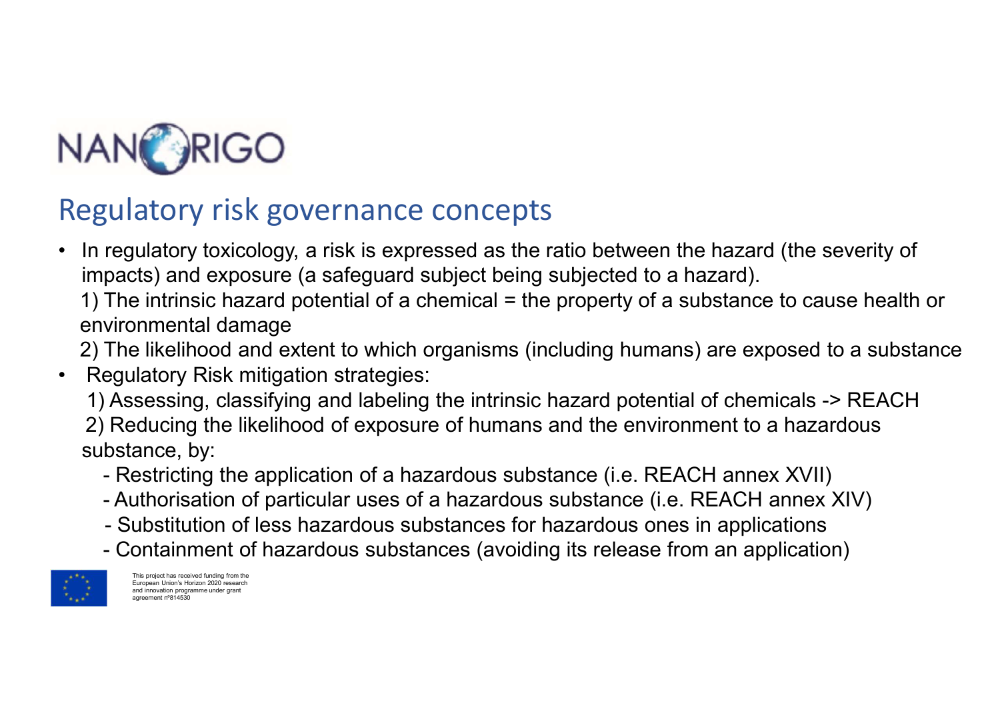

- NANORIGO<br>Regulatory risk governance concepts<br>• In regulatory toxicology, a risk is expressed as the ratio between the hazard (the<br>impacts) and exposure (a safeguard subject being subjected to a hazard).<br>1) The intrinsic ha **HAN**<br>• In regulatory risk governance concepts<br>• In regulatory toxicology, a risk is expressed as the ratio between the hazard (the severity of<br>• impacts) and exposure (a safeguard subject being subjected to a hazard).<br>• 1 impacts) and exposure (a safeguard subject being subjected to a hazard).
	- 1) The intrinsic hazard potential of a chemical = the property of a substance to cause health or environmental damage

2) The likelihood and extent to which organisms (including humans) are exposed to a substance

- Regulatory Risk mitigation strategies: 1) Assessing, classifying and labeling the intrinsic hazard potential of chemicals -> REACH 2) Reducing the likelihood of exposure of humans and the environment to a hazardous substance, by: gulatory risk governance concepts<br>regulatory toxicology, a risk is expressed as the ratio between the hazard (the severity of<br>pacts) and exposure (a safeguard subject being subjected to a hazard).<br>The intrinsic hazard pote | ulatory risk governance concepts<br>
regulatory toxicology, a risk is expressed as the ratio between the hazard (the severity of<br>
pacts) and exposure (a safeguard subject being subjected to a hazard).<br>
The intrinsic hazard regulatory from governance correceptor<br>regulatory toxicology, a risk is expressed as the ratio between the hazard (the severity of<br>pacts) and exposure (a safeguard subject being subjected to a hazard).<br>The intrinsic hazard regulatory toxicology, a risk is expressed as the ratio between the hazard (the severity of pacts) and exposure (a safeguard subject being subjected to a hazard). The intrinsic hazard potential of a chemical = the property
	-
	-
	-
	-



This project has received funding from the European Union's Horizon 2020 research and innovation programme under grant agreement <sub>n</sub>º844530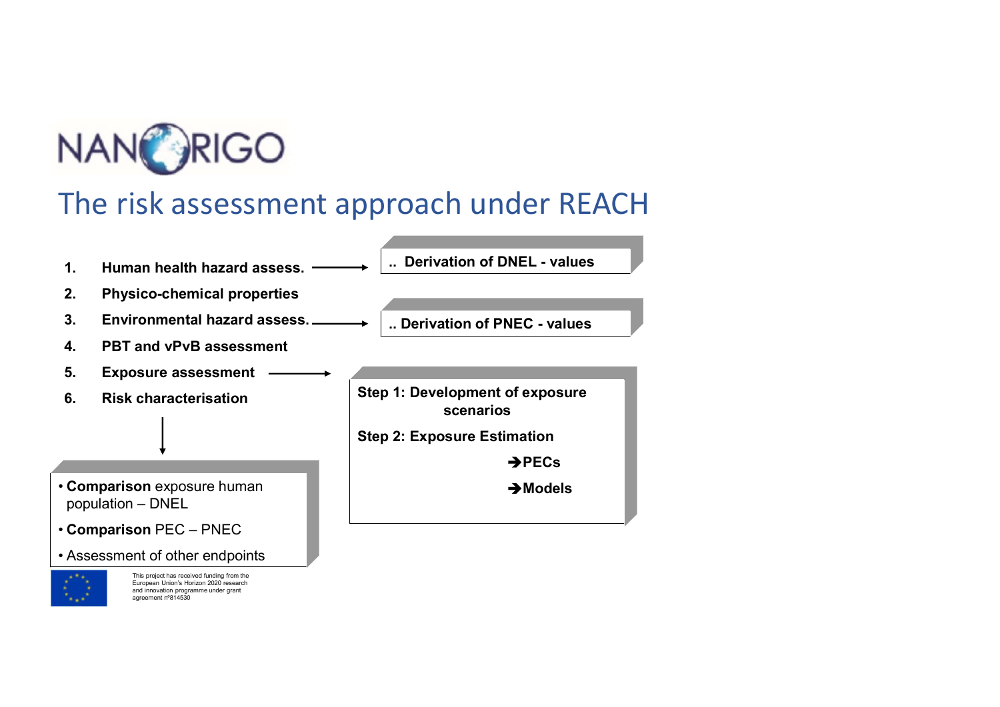





This project has received funding from the European Union's Horizon 2020 research and innovation programme under grant agreement nº814530